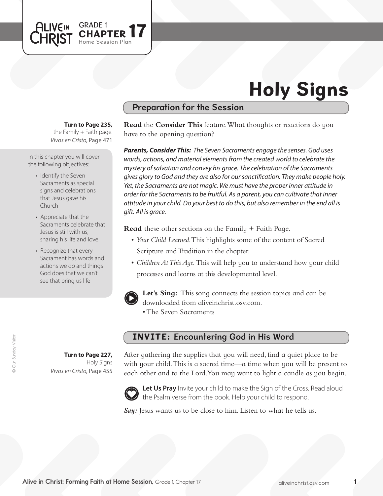# Holy Signs

# Preparation for the Session

**Turn to Page 235,** 

GRADE 1 **17** 

Session Plan

the Family  $+$  Faith page. *Vivos en Cristo,* Page 471

In this chapter you will cover the following objectives:

**ALIVEIN LHRIST** 

- Identify the Seven Sacraments as special signs and celebrations that Jesus gave his Church
- Appreciate that the Sacraments celebrate that Jesus is still with us, sharing his life and love
- Recognize that every Sacrament has words and actions we do and things God does that we can't see that bring us life

**Turn to Page 227,**

*Vivos en Cristo,* Page 455

Holy Signs

**Read** the **Consider This** feature. What thoughts or reactions do you have to the opening question?

*Parents, Consider This: The Seven Sacraments engage the senses. God uses words, actions, and material elements from the created world to celebrate the mystery of salvation and convey his grace. The celebration of the Sacraments gives glory to God and they are also for our sanctification. They make people holy. Yet, the Sacraments are not magic. We must have the proper inner attitude in order for the Sacraments to be fruitful. As a parent, you can cultivate that inner attitude in your child. Do your best to do this, but also remember in the end all is gift. All is grace.* 

**Read** these other sections on the Family + Faith Page.

- • *Your Child Learned*. This highlights some of the content of Sacred Scripture and Tradition in the chapter.
- *Children At This Aqe*. This will help you to understand how your child processes and learns at this developmental level.



Let's Sing: This song connects the session topics and can be downloaded from aliveinchrist.osv.com.

• The Seven Sacraments

# INVITE: Encountering God in His Word

After gathering the supplies that you will need, find a quiet place to be with your child. This is a sacred time—a time when you will be present to each other and to the Lord. You may want to light a candle as you begin.



Let Us Pray Invite your child to make the Sign of the Cross. Read aloud the Psalm verse from the book. Help your child to respond.

**Say:** Jesus wants us to be close to him. Listen to what he tells us.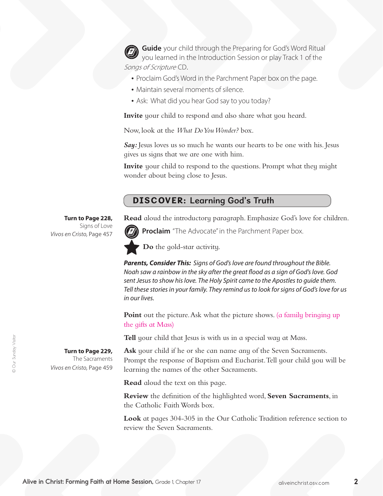**Guide** your child through the Preparing for God's Word Ritual you learned in the Introduction Session or play Track 1 of the Songs of Scripture CD.

- Proclaim God's Word in the Parchment Paper box on the page.
- Maintain several moments of silence.
- Ask: What did you hear God say to you today?

**Invite** your child to respond and also share what you heard.

Now, look at the *What Do You Wonder?* box.

**Say:** Jesus loves us so much he wants our hearts to be one with his. Jesus gives us signs that we are one with him.

**Invite** your child to respond to the questions. Prompt what they might wonder about being close to Jesus.

# DISCOVER: Learning God's Truth

**Read** aloud the introductory paragraph. Emphasize God's love for children.



**Proclaim** "The Advocate" in the Parchment Paper box.

**Do** the gold-star activity.

*Parents, Consider This: Signs of God's love are found throughout the Bible. Noah saw a rainbow in the sky after the great flood as a sign of God's love. God sent Jesus to show his love. The Holy Spirit came to the Apostles to guide them. Tell these stories in your family. They remind us to look for signs of God's love for us in our lives.*

**Point** out the picture. Ask what the picture shows. (a family bringing up the gifts at Mass)

**Tell** your child that Jesus is with us in a special way at Mass.

**Ask** your child if he or she can name any of the Seven Sacraments. Prompt the response of Baptism and Eucharist. Tell your child you will be learning the names of the other Sacraments.

**Read** aloud the text on this page.

**Review** the definition of the highlighted word, **Seven Sacraments**, in the Catholic Faith Words box.

**Look** at pages 304-305 in the Our Catholic Tradition reference section to review the Seven Sacraments.

**Turn to Page 228,** Signs of Love *Vivos en Cristo,* Page 457

**Turn to Page 229,**  The Sacraments *Vivos en Cristo,* Page 459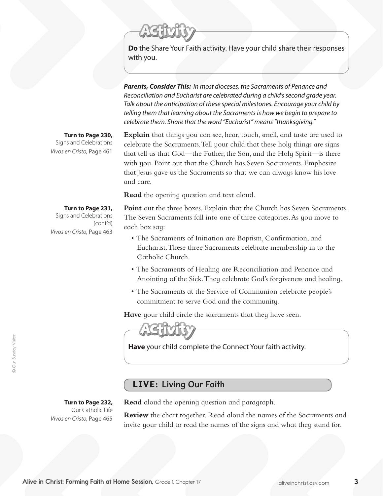**Do** the Share Your Faith activity. Have your child share their responses with you.

*Parents, Consider This: In most dioceses, the Sacraments of Penance and Reconciliation and Eucharist are celebrated during a child's second grade year. Talk about the anticipation of these special milestones. Encourage your child by telling them that learning about the Sacraments is how we begin to prepare to celebrate them. Share that the word "Eucharist" means "thanksgiving."* 

#### **Turn to Page 230,**

Signs and Celebrations *Vivos en Cristo,* Page 461

**Explain** that things you can see, hear, touch, smell, and taste are used to celebrate the Sacraments. Tell your child that these holy things are signs that tell us that God—the Father, the Son, and the Holy Spirit—is there with you. Point out that the Church has Seven Sacraments. Emphasize that Jesus gave us the Sacraments so that we can always know his love and care.

**Read** the opening question and text aloud.

#### **Turn to Page 231,**

Signs and Celebrations (cont'd) *Vivos en Cristo,* Page 463

Point out the three boxes. Explain that the Church has Seven Sacraments. The Seven Sacraments fall into one of three categories. As you move to each box say:

- The Sacraments of Initiation are Baptism, Confirmation, and Eucharist. These three Sacraments celebrate membership in to the Catholic Church.
- The Sacraments of Healing are Reconciliation and Penance and Anointing of the Sick. They celebrate God's forgiveness and healing.
- The Sacraments at the Service of Communion celebrate people's commitment to serve God and the community.

**Have** your child circle the sacraments that they have seen.

**Have** your child complete the Connect Your faith activity.

# LIVE: Living Our Faith

### **Turn to Page 232,**

Our Catholic Life *Vivos en Cristo,* Page 465

**Read** aloud the opening question and paragraph.

**Review** the chart together. Read aloud the names of the Sacraments and invite your child to read the names of the signs and what they stand for.